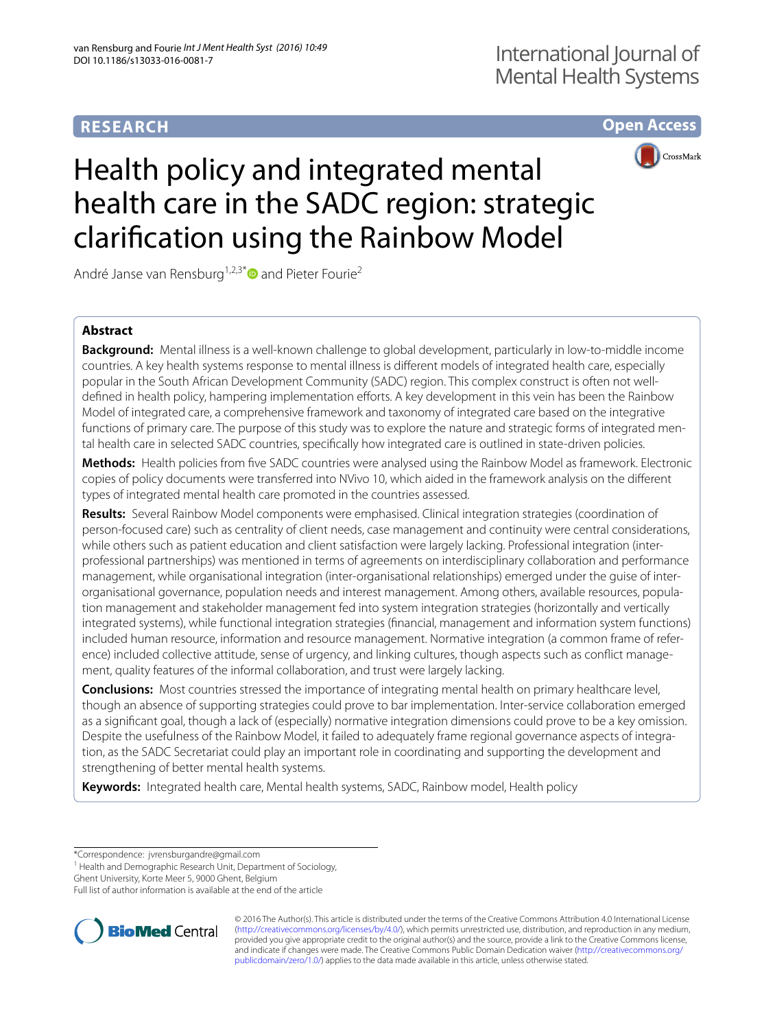## **RESEARCH**

**Open Access**



# Health policy and integrated mental health care in the SADC region: strategic clarification using the Rainbow Model

André Janse van Rensburg<sup>1,2,3\*</sup> and Pieter Fourie<sup>2</sup>

## **Abstract**

**Background:** Mental illness is a well-known challenge to global development, particularly in low-to-middle income countries. A key health systems response to mental illness is different models of integrated health care, especially popular in the South African Development Community (SADC) region. This complex construct is often not welldefined in health policy, hampering implementation efforts. A key development in this vein has been the Rainbow Model of integrated care, a comprehensive framework and taxonomy of integrated care based on the integrative functions of primary care. The purpose of this study was to explore the nature and strategic forms of integrated mental health care in selected SADC countries, specifically how integrated care is outlined in state-driven policies.

**Methods:** Health policies from five SADC countries were analysed using the Rainbow Model as framework. Electronic copies of policy documents were transferred into NVivo 10, which aided in the framework analysis on the different types of integrated mental health care promoted in the countries assessed.

**Results:** Several Rainbow Model components were emphasised. Clinical integration strategies (coordination of person-focused care) such as centrality of client needs, case management and continuity were central considerations, while others such as patient education and client satisfaction were largely lacking. Professional integration (interprofessional partnerships) was mentioned in terms of agreements on interdisciplinary collaboration and performance management, while organisational integration (inter-organisational relationships) emerged under the guise of interorganisational governance, population needs and interest management. Among others, available resources, population management and stakeholder management fed into system integration strategies (horizontally and vertically integrated systems), while functional integration strategies (financial, management and information system functions) included human resource, information and resource management. Normative integration (a common frame of reference) included collective attitude, sense of urgency, and linking cultures, though aspects such as conflict management, quality features of the informal collaboration, and trust were largely lacking.

**Conclusions:** Most countries stressed the importance of integrating mental health on primary healthcare level, though an absence of supporting strategies could prove to bar implementation. Inter-service collaboration emerged as a significant goal, though a lack of (especially) normative integration dimensions could prove to be a key omission. Despite the usefulness of the Rainbow Model, it failed to adequately frame regional governance aspects of integration, as the SADC Secretariat could play an important role in coordinating and supporting the development and strengthening of better mental health systems.

**Keywords:** Integrated health care, Mental health systems, SADC, Rainbow model, Health policy

\*Correspondence: jvrensburgandre@gmail.com

<sup>1</sup> Health and Demographic Research Unit, Department of Sociology,

Ghent University, Korte Meer 5, 9000 Ghent, Belgium

Full list of author information is available at the end of the article



© 2016 The Author(s). This article is distributed under the terms of the Creative Commons Attribution 4.0 International License [\(http://creativecommons.org/licenses/by/4.0/\)](http://creativecommons.org/licenses/by/4.0/), which permits unrestricted use, distribution, and reproduction in any medium, provided you give appropriate credit to the original author(s) and the source, provide a link to the Creative Commons license, and indicate if changes were made. The Creative Commons Public Domain Dedication waiver ([http://creativecommons.org/](http://creativecommons.org/publicdomain/zero/1.0/) [publicdomain/zero/1.0/](http://creativecommons.org/publicdomain/zero/1.0/)) applies to the data made available in this article, unless otherwise stated.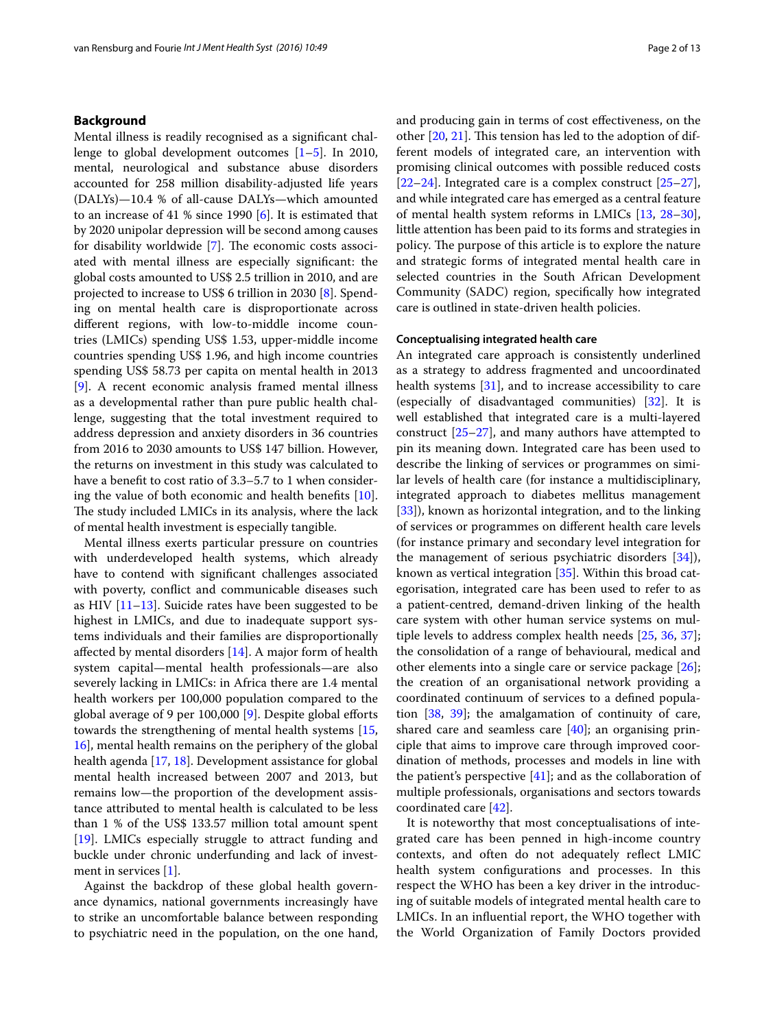#### **Background**

Mental illness is readily recognised as a significant challenge to global development outcomes [[1–](#page-10-0)[5\]](#page-10-1). In 2010, mental, neurological and substance abuse disorders accounted for 258 million disability-adjusted life years (DALYs)—10.4 % of all-cause DALYs—which amounted to an increase of 41 % since 1990 [[6\]](#page-10-2). It is estimated that by 2020 unipolar depression will be second among causes for disability worldwide [\[7\]](#page-10-3). The economic costs associated with mental illness are especially significant: the global costs amounted to US\$ 2.5 trillion in 2010, and are projected to increase to US\$ 6 trillion in 2030 [[8\]](#page-10-4). Spending on mental health care is disproportionate across different regions, with low-to-middle income countries (LMICs) spending US\$ 1.53, upper-middle income countries spending US\$ 1.96, and high income countries spending US\$ 58.73 per capita on mental health in 2013 [[9\]](#page-10-5). A recent economic analysis framed mental illness as a developmental rather than pure public health challenge, suggesting that the total investment required to address depression and anxiety disorders in 36 countries from 2016 to 2030 amounts to US\$ 147 billion. However, the returns on investment in this study was calculated to have a benefit to cost ratio of 3.3–5.7 to 1 when considering the value of both economic and health benefits [\[10](#page-10-6)]. The study included LMICs in its analysis, where the lack of mental health investment is especially tangible.

Mental illness exerts particular pressure on countries with underdeveloped health systems, which already have to contend with significant challenges associated with poverty, conflict and communicable diseases such as HIV  $[11-13]$  $[11-13]$  $[11-13]$ . Suicide rates have been suggested to be highest in LMICs, and due to inadequate support systems individuals and their families are disproportionally affected by mental disorders [\[14\]](#page-10-9). A major form of health system capital—mental health professionals—are also severely lacking in LMICs: in Africa there are 1.4 mental health workers per 100,000 population compared to the global average of 9 per 100,000 [[9\]](#page-10-5). Despite global efforts towards the strengthening of mental health systems [\[15](#page-10-10), [16\]](#page-10-11), mental health remains on the periphery of the global health agenda [\[17,](#page-10-12) [18](#page-10-13)]. Development assistance for global mental health increased between 2007 and 2013, but remains low—the proportion of the development assistance attributed to mental health is calculated to be less than 1 % of the US\$ 133.57 million total amount spent [[19\]](#page-10-14). LMICs especially struggle to attract funding and buckle under chronic underfunding and lack of investment in services [[1](#page-10-0)].

Against the backdrop of these global health governance dynamics, national governments increasingly have to strike an uncomfortable balance between responding to psychiatric need in the population, on the one hand, and producing gain in terms of cost effectiveness, on the other [\[20](#page-10-15), [21\]](#page-10-16). This tension has led to the adoption of different models of integrated care, an intervention with promising clinical outcomes with possible reduced costs  $[22-24]$  $[22-24]$ . Integrated care is a complex construct  $[25-27]$  $[25-27]$  $[25-27]$ , and while integrated care has emerged as a central feature of mental health system reforms in LMICs [[13,](#page-10-8) [28](#page-10-21)[–30](#page-10-22)], little attention has been paid to its forms and strategies in policy. The purpose of this article is to explore the nature and strategic forms of integrated mental health care in selected countries in the South African Development Community (SADC) region, specifically how integrated care is outlined in state-driven health policies.

#### **Conceptualising integrated health care**

An integrated care approach is consistently underlined as a strategy to address fragmented and uncoordinated health systems  $[31]$ , and to increase accessibility to care (especially of disadvantaged communities) [\[32](#page-10-24)]. It is well established that integrated care is a multi-layered construct  $[25-27]$  $[25-27]$  $[25-27]$ , and many authors have attempted to pin its meaning down. Integrated care has been used to describe the linking of services or programmes on similar levels of health care (for instance a multidisciplinary, integrated approach to diabetes mellitus management [[33\]](#page-10-25)), known as horizontal integration, and to the linking of services or programmes on different health care levels (for instance primary and secondary level integration for the management of serious psychiatric disorders [\[34\]](#page-10-26)), known as vertical integration [[35\]](#page-10-27). Within this broad categorisation, integrated care has been used to refer to as a patient-centred, demand-driven linking of the health care system with other human service systems on multiple levels to address complex health needs [\[25,](#page-10-19) [36](#page-10-28), [37](#page-11-0)]; the consolidation of a range of behavioural, medical and other elements into a single care or service package [\[26](#page-10-29)]; the creation of an organisational network providing a coordinated continuum of services to a defined population [\[38](#page-11-1), [39\]](#page-11-2); the amalgamation of continuity of care, shared care and seamless care  $[40]$  $[40]$ ; an organising principle that aims to improve care through improved coordination of methods, processes and models in line with the patient's perspective  $[41]$  $[41]$ ; and as the collaboration of multiple professionals, organisations and sectors towards coordinated care [[42\]](#page-11-5).

It is noteworthy that most conceptualisations of integrated care has been penned in high-income country contexts, and often do not adequately reflect LMIC health system configurations and processes. In this respect the WHO has been a key driver in the introducing of suitable models of integrated mental health care to LMICs. In an influential report, the WHO together with the World Organization of Family Doctors provided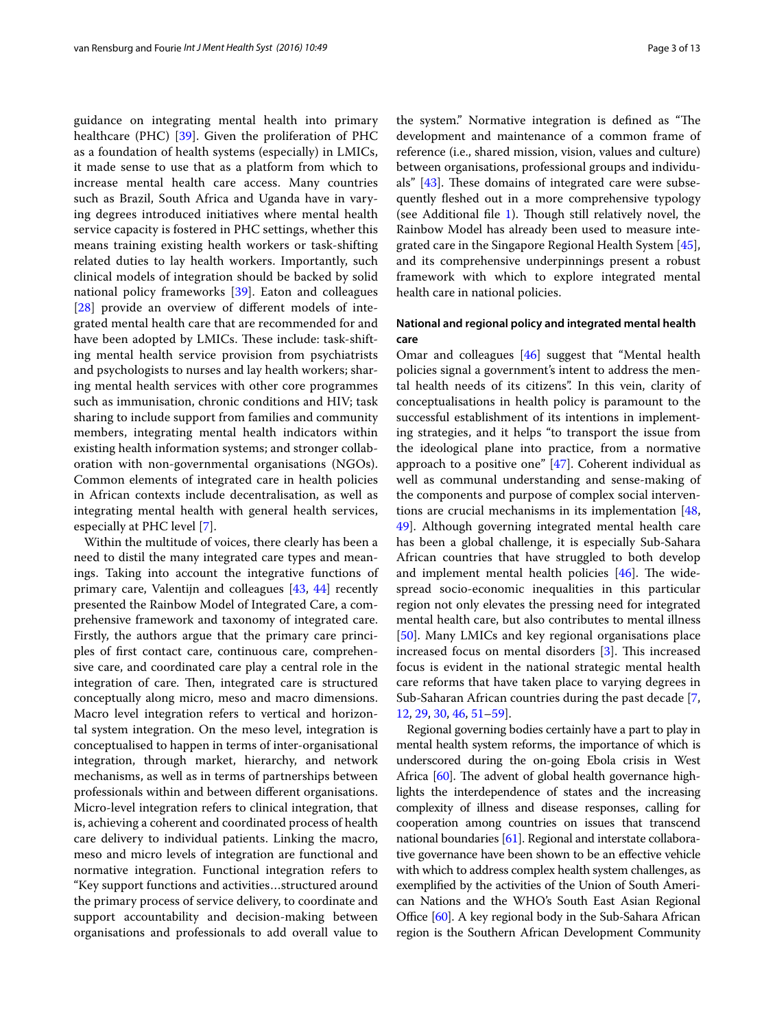guidance on integrating mental health into primary healthcare (PHC) [[39\]](#page-11-2). Given the proliferation of PHC as a foundation of health systems (especially) in LMICs, it made sense to use that as a platform from which to increase mental health care access. Many countries such as Brazil, South Africa and Uganda have in varying degrees introduced initiatives where mental health service capacity is fostered in PHC settings, whether this means training existing health workers or task-shifting related duties to lay health workers. Importantly, such clinical models of integration should be backed by solid national policy frameworks [[39\]](#page-11-2). Eaton and colleagues [[28\]](#page-10-21) provide an overview of different models of integrated mental health care that are recommended for and have been adopted by LMICs. These include: task-shifting mental health service provision from psychiatrists and psychologists to nurses and lay health workers; sharing mental health services with other core programmes such as immunisation, chronic conditions and HIV; task sharing to include support from families and community members, integrating mental health indicators within existing health information systems; and stronger collaboration with non-governmental organisations (NGOs). Common elements of integrated care in health policies in African contexts include decentralisation, as well as integrating mental health with general health services, especially at PHC level [\[7](#page-10-3)].

Within the multitude of voices, there clearly has been a need to distil the many integrated care types and meanings. Taking into account the integrative functions of primary care, Valentijn and colleagues [\[43](#page-11-6), [44\]](#page-11-7) recently presented the Rainbow Model of Integrated Care, a comprehensive framework and taxonomy of integrated care. Firstly, the authors argue that the primary care principles of first contact care, continuous care, comprehensive care, and coordinated care play a central role in the integration of care. Then, integrated care is structured conceptually along micro, meso and macro dimensions. Macro level integration refers to vertical and horizontal system integration. On the meso level, integration is conceptualised to happen in terms of inter-organisational integration, through market, hierarchy, and network mechanisms, as well as in terms of partnerships between professionals within and between different organisations. Micro-level integration refers to clinical integration, that is, achieving a coherent and coordinated process of health care delivery to individual patients. Linking the macro, meso and micro levels of integration are functional and normative integration. Functional integration refers to "Key support functions and activities…structured around the primary process of service delivery, to coordinate and support accountability and decision-making between organisations and professionals to add overall value to the system." Normative integration is defined as "The development and maintenance of a common frame of reference (i.e., shared mission, vision, values and culture) between organisations, professional groups and individuals" [\[43\]](#page-11-6). These domains of integrated care were subsequently fleshed out in a more comprehensive typology (see Additional file [1](#page-9-0)). Though still relatively novel, the Rainbow Model has already been used to measure integrated care in the Singapore Regional Health System [\[45](#page-11-8)], and its comprehensive underpinnings present a robust framework with which to explore integrated mental health care in national policies.

## **National and regional policy and integrated mental health care**

Omar and colleagues [[46\]](#page-11-9) suggest that "Mental health policies signal a government's intent to address the mental health needs of its citizens". In this vein, clarity of conceptualisations in health policy is paramount to the successful establishment of its intentions in implementing strategies, and it helps "to transport the issue from the ideological plane into practice, from a normative approach to a positive one" [[47\]](#page-11-10). Coherent individual as well as communal understanding and sense-making of the components and purpose of complex social interventions are crucial mechanisms in its implementation [[48](#page-11-11), [49\]](#page-11-12). Although governing integrated mental health care has been a global challenge, it is especially Sub-Sahara African countries that have struggled to both develop and implement mental health policies [[46\]](#page-11-9). The widespread socio-economic inequalities in this particular region not only elevates the pressing need for integrated mental health care, but also contributes to mental illness [[50\]](#page-11-13). Many LMICs and key regional organisations place increased focus on mental disorders [\[3](#page-10-30)]. This increased focus is evident in the national strategic mental health care reforms that have taken place to varying degrees in Sub-Saharan African countries during the past decade [\[7](#page-10-3), [12,](#page-10-31) [29,](#page-10-32) [30](#page-10-22), [46,](#page-11-9) [51](#page-11-14)–[59\]](#page-11-15).

Regional governing bodies certainly have a part to play in mental health system reforms, the importance of which is underscored during the on-going Ebola crisis in West Africa [[60](#page-11-16)]. The advent of global health governance highlights the interdependence of states and the increasing complexity of illness and disease responses, calling for cooperation among countries on issues that transcend national boundaries [[61](#page-11-17)]. Regional and interstate collaborative governance have been shown to be an effective vehicle with which to address complex health system challenges, as exemplified by the activities of the Union of South American Nations and the WHO's South East Asian Regional Office [[60](#page-11-16)]. A key regional body in the Sub-Sahara African region is the Southern African Development Community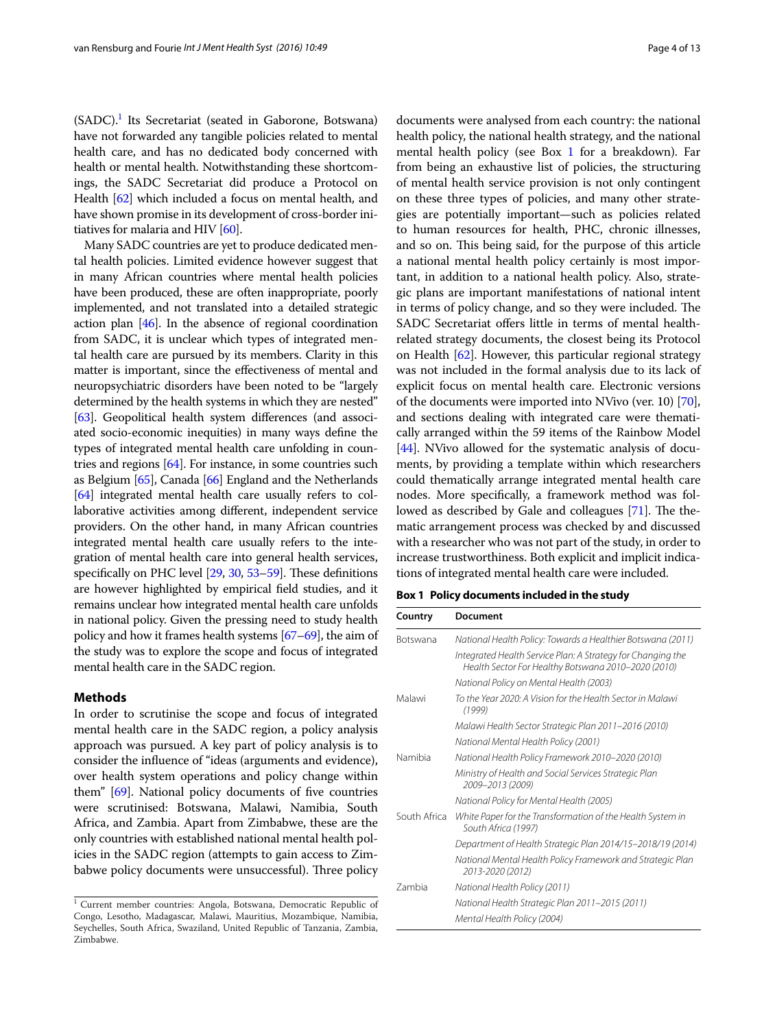$(SADC).<sup>1</sup>$  $(SADC).<sup>1</sup>$  $(SADC).<sup>1</sup>$  Its Secretariat (seated in Gaborone, Botswana) have not forwarded any tangible policies related to mental health care, and has no dedicated body concerned with health or mental health. Notwithstanding these shortcomings, the SADC Secretariat did produce a Protocol on Health [[62](#page-11-18)] which included a focus on mental health, and have shown promise in its development of cross-border initiatives for malaria and HIV [[60](#page-11-16)].

Many SADC countries are yet to produce dedicated mental health policies. Limited evidence however suggest that in many African countries where mental health policies have been produced, these are often inappropriate, poorly implemented, and not translated into a detailed strategic action plan [\[46\]](#page-11-9). In the absence of regional coordination from SADC, it is unclear which types of integrated mental health care are pursued by its members. Clarity in this matter is important, since the effectiveness of mental and neuropsychiatric disorders have been noted to be "largely determined by the health systems in which they are nested" [[63](#page-11-19)]. Geopolitical health system differences (and associated socio-economic inequities) in many ways define the types of integrated mental health care unfolding in countries and regions [\[64\]](#page-11-20). For instance, in some countries such as Belgium [\[65](#page-11-21)], Canada [\[66](#page-11-22)] England and the Netherlands [[64](#page-11-20)] integrated mental health care usually refers to collaborative activities among different, independent service providers. On the other hand, in many African countries integrated mental health care usually refers to the integration of mental health care into general health services, specifically on PHC level [\[29,](#page-10-32) [30](#page-10-22), [53](#page-11-23)[–59\]](#page-11-15). These definitions are however highlighted by empirical field studies, and it remains unclear how integrated mental health care unfolds in national policy. Given the pressing need to study health policy and how it frames health systems [[67](#page-11-24)[–69\]](#page-11-25), the aim of the study was to explore the scope and focus of integrated mental health care in the SADC region.

#### **Methods**

In order to scrutinise the scope and focus of integrated mental health care in the SADC region, a policy analysis approach was pursued. A key part of policy analysis is to consider the influence of "ideas (arguments and evidence), over health system operations and policy change within them" [\[69\]](#page-11-25). National policy documents of five countries were scrutinised: Botswana, Malawi, Namibia, South Africa, and Zambia. Apart from Zimbabwe, these are the only countries with established national mental health policies in the SADC region (attempts to gain access to Zimbabwe policy documents were unsuccessful). Three policy documents were analysed from each country: the national health policy, the national health strategy, and the national mental health policy (see Box 1 for a breakdown). Far from being an exhaustive list of policies, the structuring of mental health service provision is not only contingent on these three types of policies, and many other strategies are potentially important—such as policies related to human resources for health, PHC, chronic illnesses, and so on. This being said, for the purpose of this article a national mental health policy certainly is most important, in addition to a national health policy. Also, strategic plans are important manifestations of national intent in terms of policy change, and so they were included. The SADC Secretariat offers little in terms of mental healthrelated strategy documents, the closest being its Protocol on Health [[62](#page-11-18)]. However, this particular regional strategy was not included in the formal analysis due to its lack of explicit focus on mental health care. Electronic versions of the documents were imported into NVivo (ver. 10) [[70](#page-11-26)], and sections dealing with integrated care were thematically arranged within the 59 items of the Rainbow Model [[44](#page-11-7)]. NVivo allowed for the systematic analysis of documents, by providing a template within which researchers could thematically arrange integrated mental health care nodes. More specifically, a framework method was followed as described by Gale and colleagues [[71](#page-11-27)]. The thematic arrangement process was checked by and discussed with a researcher who was not part of the study, in order to increase trustworthiness. Both explicit and implicit indications of integrated mental health care were included.

|  |  | Box 1 Policy documents included in the study |  |  |  |
|--|--|----------------------------------------------|--|--|--|
|--|--|----------------------------------------------|--|--|--|

| Country         | Document                                                                                                           |
|-----------------|--------------------------------------------------------------------------------------------------------------------|
| <b>Botswana</b> | National Health Policy: Towards a Healthier Botswana (2011)                                                        |
|                 | Integrated Health Service Plan: A Strategy for Changing the<br>Health Sector For Healthy Botswana 2010-2020 (2010) |
|                 | National Policy on Mental Health (2003)                                                                            |
| Malawi          | To the Year 2020: A Vision for the Health Sector in Malawi<br>(1999)                                               |
|                 | Malawi Health Sector Strategic Plan 2011-2016 (2010)                                                               |
|                 | National Mental Health Policy (2001)                                                                               |
| Namibia         | National Health Policy Framework 2010-2020 (2010)                                                                  |
|                 | Ministry of Health and Social Services Strategic Plan<br>2009-2013 (2009)                                          |
|                 | National Policy for Mental Health (2005)                                                                           |
| South Africa    | White Paper for the Transformation of the Health System in<br>South Africa (1997)                                  |
|                 | Department of Health Strategic Plan 2014/15-2018/19 (2014)                                                         |
|                 | National Mental Health Policy Framework and Strategic Plan<br>2013-2020 (2012)                                     |
| 7ambia          | National Health Policy (2011)                                                                                      |
|                 | National Health Strategic Plan 2011-2015 (2011)                                                                    |
|                 | Mental Health Policy (2004)                                                                                        |

<span id="page-3-0"></span><sup>&</sup>lt;sup>1</sup> Current member countries: Angola, Botswana, Democratic Republic of Congo, Lesotho, Madagascar, Malawi, Mauritius, Mozambique, Namibia, Seychelles, South Africa, Swaziland, United Republic of Tanzania, Zambia, Zimbabwe.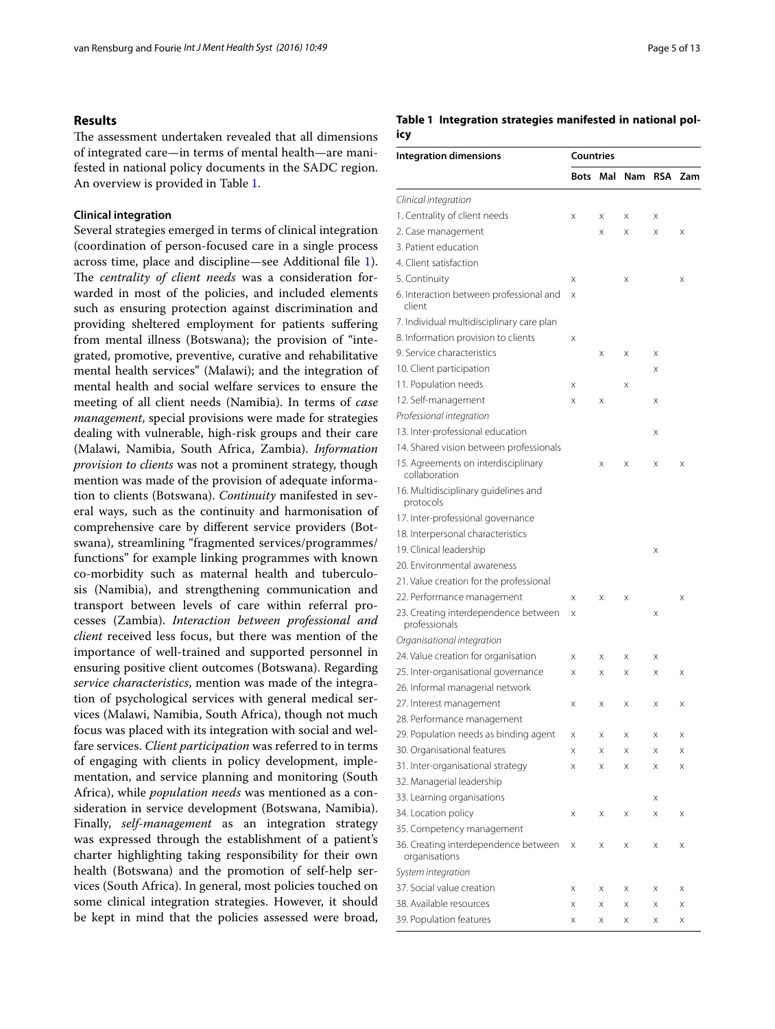## **Results**

The assessment undertaken revealed that all dimensions of integrated care—in terms of mental health—are manifested in national policy documents in the SADC region. An overview is provided in Table [1](#page-4-0).

#### **Clinical integration**

Several strategies emerged in terms of clinical integration (coordination of person-focused care in a single process across time, place and discipline—see Additional file [1](#page-9-0)). The *centrality of client needs* was a consideration forwarded in most of the policies, and included elements such as ensuring protection against discrimination and providing sheltered employment for patients suffering from mental illness (Botswana); the provision of "integrated, promotive, preventive, curative and rehabilitative mental health services" (Malawi); and the integration of mental health and social welfare services to ensure the meeting of all client needs (Namibia). In terms of *case management*, special provisions were made for strategies dealing with vulnerable, high-risk groups and their care (Malawi, Namibia, South Africa, Zambia). *Information provision to clients* was not a prominent strategy, though mention was made of the provision of adequate information to clients (Botswana). *Continuity* manifested in several ways, such as the continuity and harmonisation of comprehensive care by different service providers (Botswana), streamlining "fragmented services/programmes/ functions" for example linking programmes with known co-morbidity such as maternal health and tuberculosis (Namibia), and strengthening communication and transport between levels of care within referral processes (Zambia). *Interaction between professional and client* received less focus, but there was mention of the importance of well-trained and supported personnel in ensuring positive client outcomes (Botswana). Regarding *service characteristics*, mention was made of the integration of psychological services with general medical services (Malawi, Namibia, South Africa), though not much focus was placed with its integration with social and welfare services. *Client participation* was referred to in terms of engaging with clients in policy development, implementation, and service planning and monitoring (South Africa), while *population needs* was mentioned as a consideration in service development (Botswana, Namibia). Finally, *self*-*management* as an integration strategy was expressed through the establishment of a patient's charter highlighting taking responsibility for their own health (Botswana) and the promotion of self-help services (South Africa). In general, most policies touched on some clinical integration strategies. However, it should be kept in mind that the policies assessed were broad,

## <span id="page-4-0"></span>**Table 1 Integration strategies manifested in national policy**

| <b>Integration dimensions</b>                         |             | Countries |            |     |     |  |  |
|-------------------------------------------------------|-------------|-----------|------------|-----|-----|--|--|
|                                                       | <b>Bots</b> | Mal       | <b>Nam</b> | RSA | Zam |  |  |
| Clinical integration                                  |             |           |            |     |     |  |  |
| 1. Centrality of client needs                         | X           | X         | X          | X   |     |  |  |
| 2. Case management                                    |             | X         | X          | X   | X   |  |  |
| 3. Patient education                                  |             |           |            |     |     |  |  |
| 4. Client satisfaction                                |             |           |            |     |     |  |  |
| 5. Continuity                                         | X           |           | X          |     | X   |  |  |
| 6. Interaction between professional and<br>client     | X           |           |            |     |     |  |  |
| 7. Individual multidisciplinary care plan             |             |           |            |     |     |  |  |
| 8. Information provision to clients                   | Χ           |           |            |     |     |  |  |
| 9. Service characteristics                            |             | X         | Χ          | Χ   |     |  |  |
| 10. Client participation                              |             |           |            | X   |     |  |  |
| 11. Population needs                                  | X           |           | X          |     |     |  |  |
| 12. Self-management                                   | X           | X         |            | X   |     |  |  |
| Professional integration                              |             |           |            |     |     |  |  |
| 13. Inter-professional education                      |             |           |            | X   |     |  |  |
| 14. Shared vision between professionals               |             |           |            |     |     |  |  |
| 15. Agreements on interdisciplinary<br>collaboration  |             | X         | X          | X   | X   |  |  |
| 16. Multidisciplinary guidelines and<br>protocols     |             |           |            |     |     |  |  |
| 17. Inter-professional governance                     |             |           |            |     |     |  |  |
| 18. Interpersonal characteristics                     |             |           |            |     |     |  |  |
| 19. Clinical leadership                               |             |           |            | X   |     |  |  |
| 20. Environmental awareness                           |             |           |            |     |     |  |  |
| 21. Value creation for the professional               |             |           |            |     |     |  |  |
| 22. Performance management                            | X           | X         | X          |     | X   |  |  |
| 23. Creating interdependence between<br>professionals | X           |           |            | X   |     |  |  |
| Organisational integration                            |             |           |            |     |     |  |  |
| 24. Value creation for organisation                   | X           | X         | Χ          | X   |     |  |  |
| 25. Inter-organisational governance                   | X           | Χ         | X          | X   | X   |  |  |
| 26. Informal managerial network                       |             |           |            |     |     |  |  |
| 27. Interest management                               | X           | X         | X          | X   | X   |  |  |
| 28. Performance management                            |             |           |            |     |     |  |  |
| 29. Population needs as binding agent                 | Χ           | Χ         | Χ          | Χ   | Χ   |  |  |
| 30. Organisational features                           | X           | Χ         | Χ          | X   | X   |  |  |
| 31. Inter-organisational strategy                     | Χ           | X         | Χ          | X   | Χ   |  |  |
| 32. Managerial leadership                             |             |           |            |     |     |  |  |
| 33. Learning organisations                            |             |           |            | Χ   |     |  |  |
| 34. Location policy                                   | Χ           | X         | X          | Χ   | Χ   |  |  |
| 35. Competency management                             |             |           |            |     |     |  |  |
| 36. Creating interdependence between<br>organisations | Χ           | Χ         | Χ          | Χ   | Χ   |  |  |
| System integration                                    |             |           |            |     |     |  |  |
| 37. Social value creation                             | Χ           | X         | Χ          | Χ   | Χ   |  |  |
| 38. Available resources                               | Χ           | X         | Χ          | Χ   | Χ   |  |  |
| 39. Population features                               | Χ           | X         | Χ          | Χ   | Χ   |  |  |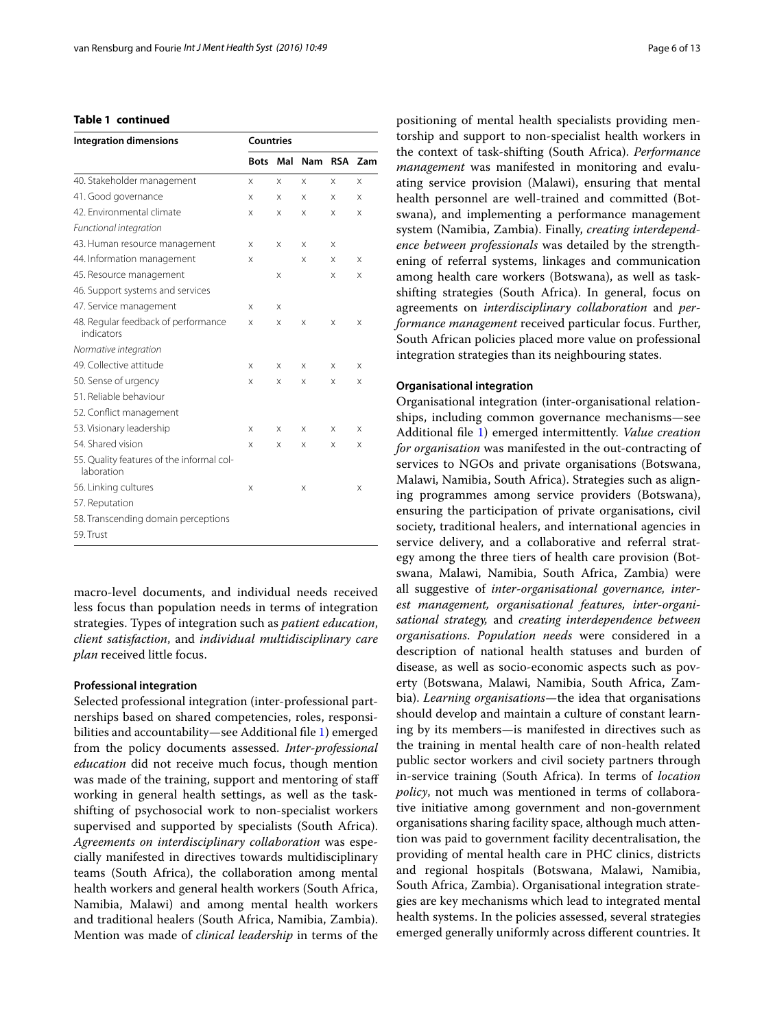## **Table 1 continued**

| <b>Integration dimensions</b>                           | <b>Countries</b> |          |            |            |     |  |
|---------------------------------------------------------|------------------|----------|------------|------------|-----|--|
|                                                         | <b>Bots</b>      | Mal      | <b>Nam</b> | <b>RSA</b> | Zam |  |
| 40. Stakeholder management                              | X                | $\times$ | X          | X          | X   |  |
| 41. Good governance                                     | X                | X        | X          | X          | X   |  |
| 42. Environmental climate                               | X                | X        | X          | X          | X   |  |
| Functional integration                                  |                  |          |            |            |     |  |
| 43. Human resource management                           | X                | X        | X          | X          |     |  |
| 44. Information management                              | X                |          | X          | X          | X   |  |
| 45. Resource management                                 |                  | X        |            | X          | X   |  |
| 46. Support systems and services                        |                  |          |            |            |     |  |
| 47. Service management                                  | X                | X        |            |            |     |  |
| 48. Regular feedback of performance<br>indicators       | X                | X        | X          | X          | X   |  |
| Normative integration                                   |                  |          |            |            |     |  |
| 49. Collective attitude                                 | X                | X        | X          | Χ          | X   |  |
| 50. Sense of urgency                                    | X                | X        | X          | X          | X   |  |
| 51. Reliable behaviour                                  |                  |          |            |            |     |  |
| 52. Conflict management                                 |                  |          |            |            |     |  |
| 53. Visionary leadership                                | X                | X        | X          | X          | X   |  |
| 54. Shared vision                                       | X                | X        | X          | X          | X   |  |
| 55. Quality features of the informal col-<br>laboration |                  |          |            |            |     |  |
| 56. Linking cultures                                    | X                |          | X          |            | X   |  |
| 57. Reputation                                          |                  |          |            |            |     |  |
| 58. Transcending domain perceptions                     |                  |          |            |            |     |  |
| 59. Trust                                               |                  |          |            |            |     |  |
|                                                         |                  |          |            |            |     |  |

macro-level documents, and individual needs received less focus than population needs in terms of integration strategies. Types of integration such as *patient education*, *client satisfaction*, and *individual multidisciplinary care plan* received little focus.

#### **Professional integration**

Selected professional integration (inter-professional partnerships based on shared competencies, roles, responsibilities and accountability—see Additional file [1\)](#page-9-0) emerged from the policy documents assessed. *Inter*-*professional education* did not receive much focus, though mention was made of the training, support and mentoring of staff working in general health settings, as well as the taskshifting of psychosocial work to non-specialist workers supervised and supported by specialists (South Africa). *Agreements on interdisciplinary collaboration* was especially manifested in directives towards multidisciplinary teams (South Africa), the collaboration among mental health workers and general health workers (South Africa, Namibia, Malawi) and among mental health workers and traditional healers (South Africa, Namibia, Zambia). Mention was made of *clinical leadership* in terms of the positioning of mental health specialists providing mentorship and support to non-specialist health workers in the context of task-shifting (South Africa). *Performance management* was manifested in monitoring and evaluating service provision (Malawi), ensuring that mental health personnel are well-trained and committed (Botswana), and implementing a performance management system (Namibia, Zambia). Finally, *creating interdependence between professionals* was detailed by the strengthening of referral systems, linkages and communication among health care workers (Botswana), as well as taskshifting strategies (South Africa). In general, focus on agreements on *interdisciplinary collaboration* and *performance management* received particular focus. Further, South African policies placed more value on professional integration strategies than its neighbouring states.

#### **Organisational integration**

Organisational integration (inter-organisational relationships, including common governance mechanisms—see Additional file [1](#page-9-0)) emerged intermittently. *Value creation for organisation* was manifested in the out-contracting of services to NGOs and private organisations (Botswana, Malawi, Namibia, South Africa). Strategies such as aligning programmes among service providers (Botswana), ensuring the participation of private organisations, civil society, traditional healers, and international agencies in service delivery, and a collaborative and referral strategy among the three tiers of health care provision (Botswana, Malawi, Namibia, South Africa, Zambia) were all suggestive of *inter*-*organisational governance, interest management, organisational features, inter*-*organisational strategy,* and *creating interdependence between organisations*. *Population needs* were considered in a description of national health statuses and burden of disease, as well as socio-economic aspects such as poverty (Botswana, Malawi, Namibia, South Africa, Zambia). *Learning organisations*—the idea that organisations should develop and maintain a culture of constant learning by its members—is manifested in directives such as the training in mental health care of non-health related public sector workers and civil society partners through in-service training (South Africa). In terms of *location policy*, not much was mentioned in terms of collaborative initiative among government and non-government organisations sharing facility space, although much attention was paid to government facility decentralisation, the providing of mental health care in PHC clinics, districts and regional hospitals (Botswana, Malawi, Namibia, South Africa, Zambia). Organisational integration strategies are key mechanisms which lead to integrated mental health systems. In the policies assessed, several strategies emerged generally uniformly across different countries. It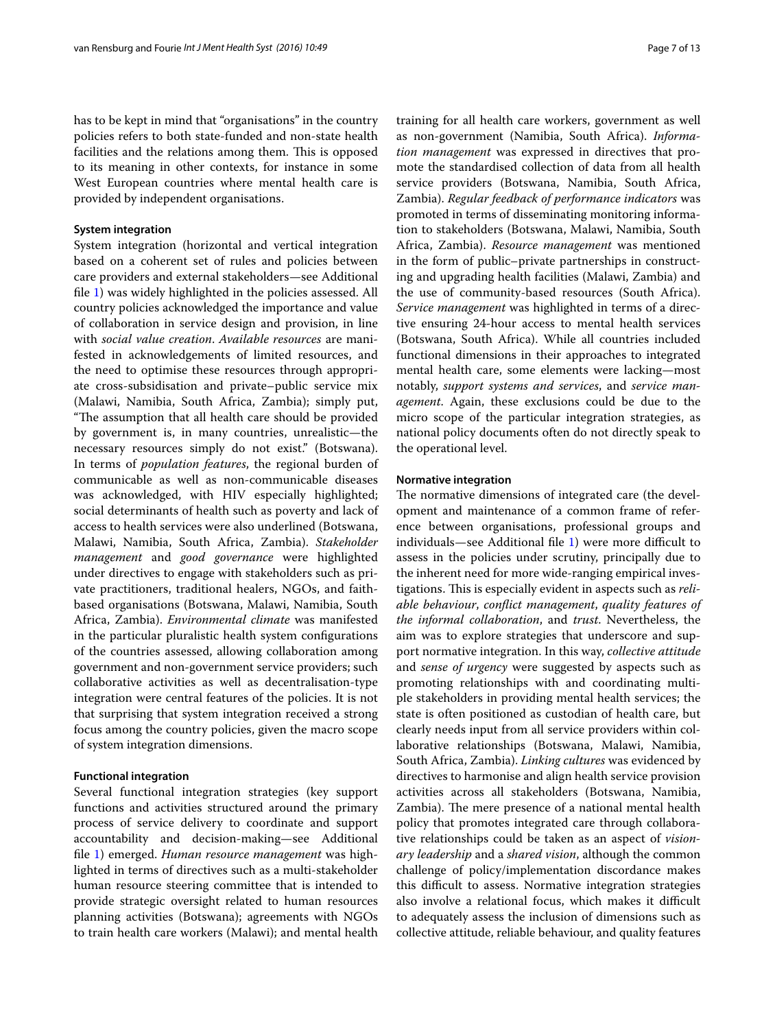has to be kept in mind that "organisations" in the country policies refers to both state-funded and non-state health facilities and the relations among them. This is opposed to its meaning in other contexts, for instance in some West European countries where mental health care is provided by independent organisations.

#### **System integration**

System integration (horizontal and vertical integration based on a coherent set of rules and policies between care providers and external stakeholders—see Additional file [1\)](#page-9-0) was widely highlighted in the policies assessed. All country policies acknowledged the importance and value of collaboration in service design and provision, in line with *social value creation*. *Available resources* are manifested in acknowledgements of limited resources, and the need to optimise these resources through appropriate cross-subsidisation and private–public service mix (Malawi, Namibia, South Africa, Zambia); simply put, "The assumption that all health care should be provided by government is, in many countries, unrealistic—the necessary resources simply do not exist." (Botswana). In terms of *population features*, the regional burden of communicable as well as non-communicable diseases was acknowledged, with HIV especially highlighted; social determinants of health such as poverty and lack of access to health services were also underlined (Botswana, Malawi, Namibia, South Africa, Zambia). *Stakeholder management* and *good governance* were highlighted under directives to engage with stakeholders such as private practitioners, traditional healers, NGOs, and faithbased organisations (Botswana, Malawi, Namibia, South Africa, Zambia). *Environmental climate* was manifested in the particular pluralistic health system configurations of the countries assessed, allowing collaboration among government and non-government service providers; such collaborative activities as well as decentralisation-type integration were central features of the policies. It is not that surprising that system integration received a strong focus among the country policies, given the macro scope of system integration dimensions.

#### **Functional integration**

Several functional integration strategies (key support functions and activities structured around the primary process of service delivery to coordinate and support accountability and decision-making—see Additional file [1](#page-9-0)) emerged. *Human resource management* was highlighted in terms of directives such as a multi-stakeholder human resource steering committee that is intended to provide strategic oversight related to human resources planning activities (Botswana); agreements with NGOs to train health care workers (Malawi); and mental health training for all health care workers, government as well as non-government (Namibia, South Africa). *Information management* was expressed in directives that promote the standardised collection of data from all health service providers (Botswana, Namibia, South Africa, Zambia). *Regular feedback of performance indicators* was promoted in terms of disseminating monitoring information to stakeholders (Botswana, Malawi, Namibia, South Africa, Zambia). *Resource management* was mentioned in the form of public–private partnerships in constructing and upgrading health facilities (Malawi, Zambia) and the use of community-based resources (South Africa). *Service management* was highlighted in terms of a directive ensuring 24-hour access to mental health services (Botswana, South Africa). While all countries included functional dimensions in their approaches to integrated mental health care, some elements were lacking—most notably, *support systems and services*, and *service management*. Again, these exclusions could be due to the micro scope of the particular integration strategies, as national policy documents often do not directly speak to the operational level.

#### **Normative integration**

The normative dimensions of integrated care (the development and maintenance of a common frame of reference between organisations, professional groups and individuals—see Additional file [1\)](#page-9-0) were more difficult to assess in the policies under scrutiny, principally due to the inherent need for more wide-ranging empirical investigations. This is especially evident in aspects such as *reliable behaviour*, *conflict management*, *quality features of the informal collaboration*, and *trust*. Nevertheless, the aim was to explore strategies that underscore and support normative integration. In this way, *collective attitude* and *sense of urgency* were suggested by aspects such as promoting relationships with and coordinating multiple stakeholders in providing mental health services; the state is often positioned as custodian of health care, but clearly needs input from all service providers within collaborative relationships (Botswana, Malawi, Namibia, South Africa, Zambia). *Linking cultures* was evidenced by directives to harmonise and align health service provision activities across all stakeholders (Botswana, Namibia, Zambia). The mere presence of a national mental health policy that promotes integrated care through collaborative relationships could be taken as an aspect of *visionary leadership* and a *shared vision*, although the common challenge of policy/implementation discordance makes this difficult to assess. Normative integration strategies also involve a relational focus, which makes it difficult to adequately assess the inclusion of dimensions such as collective attitude, reliable behaviour, and quality features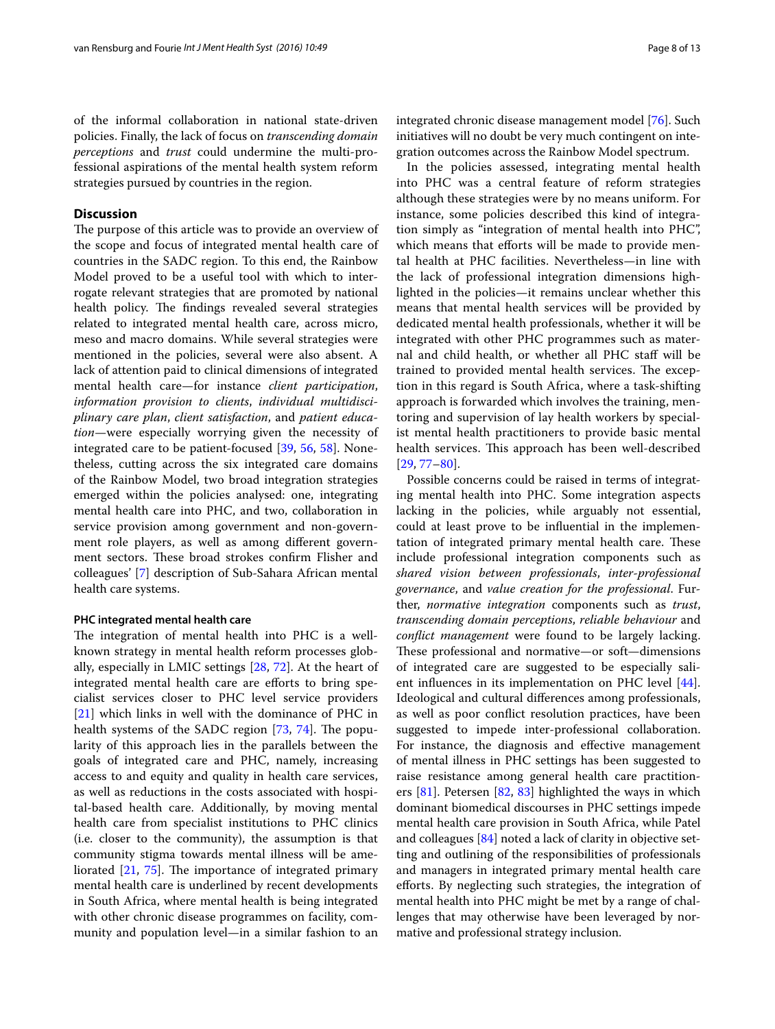of the informal collaboration in national state-driven policies. Finally, the lack of focus on *transcending domain perceptions* and *trust* could undermine the multi-professional aspirations of the mental health system reform strategies pursued by countries in the region.

## **Discussion**

The purpose of this article was to provide an overview of the scope and focus of integrated mental health care of countries in the SADC region. To this end, the Rainbow Model proved to be a useful tool with which to interrogate relevant strategies that are promoted by national health policy. The findings revealed several strategies related to integrated mental health care, across micro, meso and macro domains. While several strategies were mentioned in the policies, several were also absent. A lack of attention paid to clinical dimensions of integrated mental health care—for instance *client participation*, *information provision to clients*, *individual multidisciplinary care plan*, *client satisfaction*, and *patient education*—were especially worrying given the necessity of integrated care to be patient-focused [[39,](#page-11-2) [56,](#page-11-28) [58\]](#page-11-29). Nonetheless, cutting across the six integrated care domains of the Rainbow Model, two broad integration strategies emerged within the policies analysed: one, integrating mental health care into PHC, and two, collaboration in service provision among government and non-government role players, as well as among different government sectors. These broad strokes confirm Flisher and colleagues' [\[7\]](#page-10-3) description of Sub-Sahara African mental health care systems.

#### **PHC integrated mental health care**

The integration of mental health into PHC is a wellknown strategy in mental health reform processes globally, especially in LMIC settings [\[28,](#page-10-21) [72](#page-11-30)]. At the heart of integrated mental health care are efforts to bring specialist services closer to PHC level service providers [[21\]](#page-10-16) which links in well with the dominance of PHC in health systems of the SADC region [\[73](#page-11-31), [74\]](#page-11-32). The popularity of this approach lies in the parallels between the goals of integrated care and PHC, namely, increasing access to and equity and quality in health care services, as well as reductions in the costs associated with hospital-based health care. Additionally, by moving mental health care from specialist institutions to PHC clinics (i.e. closer to the community), the assumption is that community stigma towards mental illness will be ameliorated [\[21](#page-10-16), [75\]](#page-11-33). The importance of integrated primary mental health care is underlined by recent developments in South Africa, where mental health is being integrated with other chronic disease programmes on facility, community and population level—in a similar fashion to an integrated chronic disease management model [[76\]](#page-11-34). Such initiatives will no doubt be very much contingent on integration outcomes across the Rainbow Model spectrum.

In the policies assessed, integrating mental health into PHC was a central feature of reform strategies although these strategies were by no means uniform. For instance, some policies described this kind of integration simply as "integration of mental health into PHC", which means that efforts will be made to provide mental health at PHC facilities. Nevertheless—in line with the lack of professional integration dimensions highlighted in the policies—it remains unclear whether this means that mental health services will be provided by dedicated mental health professionals, whether it will be integrated with other PHC programmes such as maternal and child health, or whether all PHC staff will be trained to provided mental health services. The exception in this regard is South Africa, where a task-shifting approach is forwarded which involves the training, mentoring and supervision of lay health workers by specialist mental health practitioners to provide basic mental health services. This approach has been well-described [[29,](#page-10-32) [77](#page-11-35)[–80](#page-11-36)].

Possible concerns could be raised in terms of integrating mental health into PHC. Some integration aspects lacking in the policies, while arguably not essential, could at least prove to be influential in the implementation of integrated primary mental health care. These include professional integration components such as *shared vision between professionals*, *inter*-*professional governance*, and *value creation for the professional*. Further, *normative integration* components such as *trust*, *transcending domain perceptions*, *reliable behaviour* and *conflict management* were found to be largely lacking. These professional and normative—or soft—dimensions of integrated care are suggested to be especially salient influences in its implementation on PHC level [\[44](#page-11-7)]. Ideological and cultural differences among professionals, as well as poor conflict resolution practices, have been suggested to impede inter-professional collaboration. For instance, the diagnosis and effective management of mental illness in PHC settings has been suggested to raise resistance among general health care practitioners [\[81\]](#page-11-37). Petersen [[82,](#page-11-38) [83\]](#page-11-39) highlighted the ways in which dominant biomedical discourses in PHC settings impede mental health care provision in South Africa, while Patel and colleagues [[84\]](#page-11-40) noted a lack of clarity in objective setting and outlining of the responsibilities of professionals and managers in integrated primary mental health care efforts. By neglecting such strategies, the integration of mental health into PHC might be met by a range of challenges that may otherwise have been leveraged by normative and professional strategy inclusion.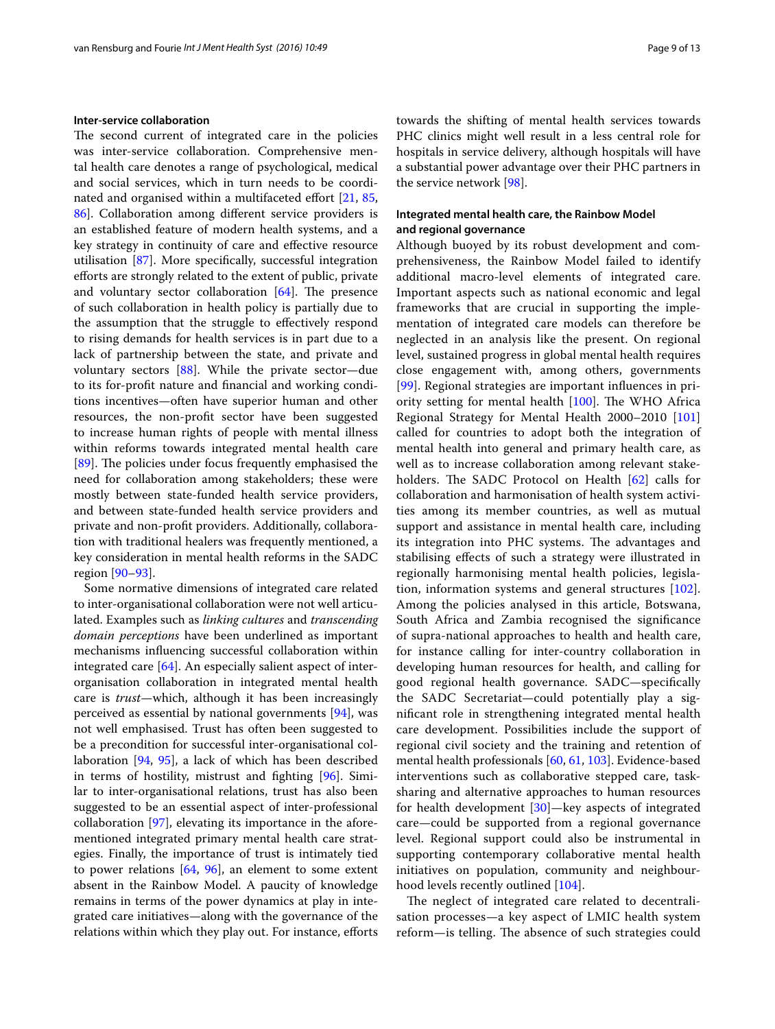#### **Inter‑service collaboration**

The second current of integrated care in the policies was inter-service collaboration. Comprehensive mental health care denotes a range of psychological, medical and social services, which in turn needs to be coordinated and organised within a multifaceted effort [\[21](#page-10-16), [85](#page-12-0), [86\]](#page-12-1). Collaboration among different service providers is an established feature of modern health systems, and a key strategy in continuity of care and effective resource utilisation [[87\]](#page-12-2). More specifically, successful integration efforts are strongly related to the extent of public, private and voluntary sector collaboration [[64\]](#page-11-20). The presence of such collaboration in health policy is partially due to the assumption that the struggle to effectively respond to rising demands for health services is in part due to a lack of partnership between the state, and private and voluntary sectors [[88](#page-12-3)]. While the private sector—due to its for-profit nature and financial and working conditions incentives—often have superior human and other resources, the non-profit sector have been suggested to increase human rights of people with mental illness within reforms towards integrated mental health care [[89\]](#page-12-4). The policies under focus frequently emphasised the need for collaboration among stakeholders; these were mostly between state-funded health service providers, and between state-funded health service providers and private and non-profit providers. Additionally, collaboration with traditional healers was frequently mentioned, a key consideration in mental health reforms in the SADC region [\[90](#page-12-5)[–93](#page-12-6)].

Some normative dimensions of integrated care related to inter-organisational collaboration were not well articulated. Examples such as *linking cultures* and *transcending domain perceptions* have been underlined as important mechanisms influencing successful collaboration within integrated care [[64\]](#page-11-20). An especially salient aspect of interorganisation collaboration in integrated mental health care is *trust*—which, although it has been increasingly perceived as essential by national governments [[94\]](#page-12-7), was not well emphasised. Trust has often been suggested to be a precondition for successful inter-organisational collaboration [[94,](#page-12-7) [95](#page-12-8)], a lack of which has been described in terms of hostility, mistrust and fighting [\[96](#page-12-9)]. Similar to inter-organisational relations, trust has also been suggested to be an essential aspect of inter-professional collaboration [\[97](#page-12-10)], elevating its importance in the aforementioned integrated primary mental health care strategies. Finally, the importance of trust is intimately tied to power relations  $[64, 96]$  $[64, 96]$  $[64, 96]$  $[64, 96]$ , an element to some extent absent in the Rainbow Model. A paucity of knowledge remains in terms of the power dynamics at play in integrated care initiatives—along with the governance of the relations within which they play out. For instance, efforts towards the shifting of mental health services towards PHC clinics might well result in a less central role for hospitals in service delivery, although hospitals will have a substantial power advantage over their PHC partners in the service network [\[98](#page-12-11)].

## **Integrated mental health care, the Rainbow Model and regional governance**

Although buoyed by its robust development and comprehensiveness, the Rainbow Model failed to identify additional macro-level elements of integrated care. Important aspects such as national economic and legal frameworks that are crucial in supporting the implementation of integrated care models can therefore be neglected in an analysis like the present. On regional level, sustained progress in global mental health requires close engagement with, among others, governments [[99\]](#page-12-12). Regional strategies are important influences in priority setting for mental health [\[100](#page-12-13)]. The WHO Africa Regional Strategy for Mental Health 2000–2010 [\[101](#page-12-14)] called for countries to adopt both the integration of mental health into general and primary health care, as well as to increase collaboration among relevant stake-holders. The SADC Protocol on Health [[62\]](#page-11-18) calls for collaboration and harmonisation of health system activities among its member countries, as well as mutual support and assistance in mental health care, including its integration into PHC systems. The advantages and stabilising effects of such a strategy were illustrated in regionally harmonising mental health policies, legislation, information systems and general structures [\[102](#page-12-15)]. Among the policies analysed in this article, Botswana, South Africa and Zambia recognised the significance of supra-national approaches to health and health care, for instance calling for inter-country collaboration in developing human resources for health, and calling for good regional health governance. SADC—specifically the SADC Secretariat—could potentially play a significant role in strengthening integrated mental health care development. Possibilities include the support of regional civil society and the training and retention of mental health professionals [[60,](#page-11-16) [61](#page-11-17), [103\]](#page-12-16). Evidence-based interventions such as collaborative stepped care, tasksharing and alternative approaches to human resources for health development [\[30](#page-10-22)]—key aspects of integrated care—could be supported from a regional governance level. Regional support could also be instrumental in supporting contemporary collaborative mental health initiatives on population, community and neighbourhood levels recently outlined [\[104](#page-12-17)].

The neglect of integrated care related to decentralisation processes—a key aspect of LMIC health system reform—is telling. The absence of such strategies could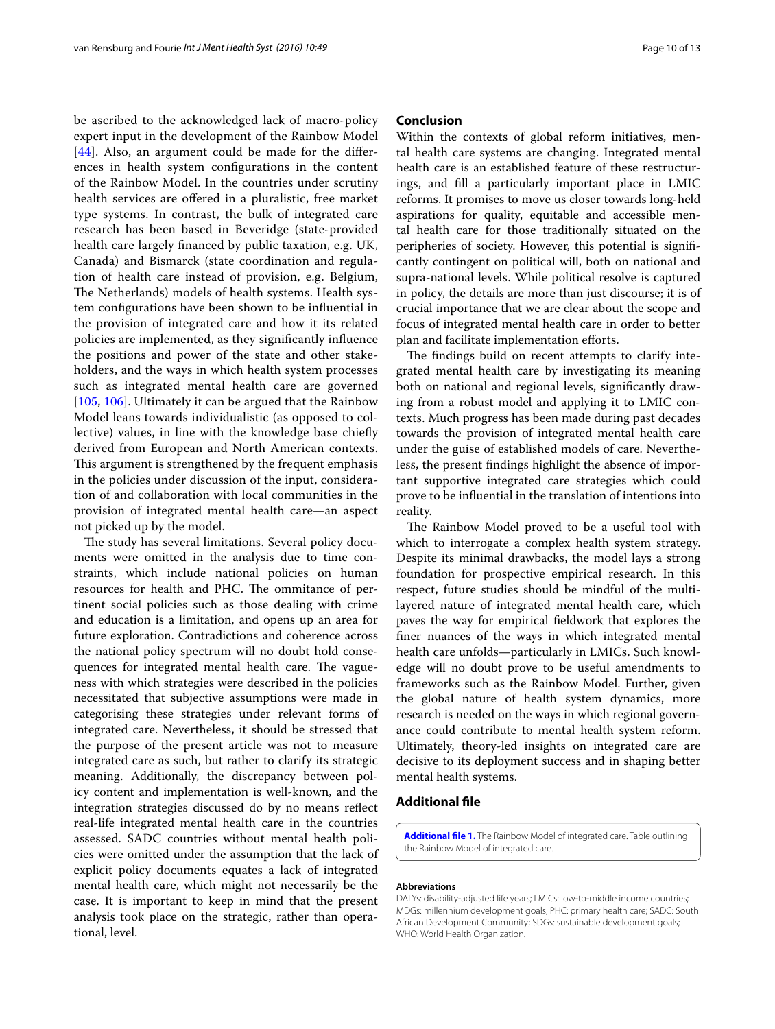be ascribed to the acknowledged lack of macro-policy expert input in the development of the Rainbow Model [[44](#page-11-7)]. Also, an argument could be made for the differences in health system configurations in the content of the Rainbow Model. In the countries under scrutiny health services are offered in a pluralistic, free market type systems. In contrast, the bulk of integrated care research has been based in Beveridge (state-provided health care largely financed by public taxation, e.g. UK, Canada) and Bismarck (state coordination and regulation of health care instead of provision, e.g. Belgium, The Netherlands) models of health systems. Health system configurations have been shown to be influential in the provision of integrated care and how it its related policies are implemented, as they significantly influence the positions and power of the state and other stakeholders, and the ways in which health system processes such as integrated mental health care are governed [[105](#page-12-18), [106\]](#page-12-19). Ultimately it can be argued that the Rainbow Model leans towards individualistic (as opposed to collective) values, in line with the knowledge base chiefly derived from European and North American contexts. This argument is strengthened by the frequent emphasis in the policies under discussion of the input, consideration of and collaboration with local communities in the provision of integrated mental health care—an aspect not picked up by the model.

The study has several limitations. Several policy documents were omitted in the analysis due to time constraints, which include national policies on human resources for health and PHC. The ommitance of pertinent social policies such as those dealing with crime and education is a limitation, and opens up an area for future exploration. Contradictions and coherence across the national policy spectrum will no doubt hold consequences for integrated mental health care. The vagueness with which strategies were described in the policies necessitated that subjective assumptions were made in categorising these strategies under relevant forms of integrated care. Nevertheless, it should be stressed that the purpose of the present article was not to measure integrated care as such, but rather to clarify its strategic meaning. Additionally, the discrepancy between policy content and implementation is well-known, and the integration strategies discussed do by no means reflect real-life integrated mental health care in the countries assessed. SADC countries without mental health policies were omitted under the assumption that the lack of explicit policy documents equates a lack of integrated mental health care, which might not necessarily be the case. It is important to keep in mind that the present analysis took place on the strategic, rather than operational, level.

#### **Conclusion**

Within the contexts of global reform initiatives, mental health care systems are changing. Integrated mental health care is an established feature of these restructurings, and fill a particularly important place in LMIC reforms. It promises to move us closer towards long-held aspirations for quality, equitable and accessible mental health care for those traditionally situated on the peripheries of society. However, this potential is significantly contingent on political will, both on national and supra-national levels. While political resolve is captured in policy, the details are more than just discourse; it is of crucial importance that we are clear about the scope and focus of integrated mental health care in order to better plan and facilitate implementation efforts.

The findings build on recent attempts to clarify integrated mental health care by investigating its meaning both on national and regional levels, significantly drawing from a robust model and applying it to LMIC contexts. Much progress has been made during past decades towards the provision of integrated mental health care under the guise of established models of care. Nevertheless, the present findings highlight the absence of important supportive integrated care strategies which could prove to be influential in the translation of intentions into reality.

The Rainbow Model proved to be a useful tool with which to interrogate a complex health system strategy. Despite its minimal drawbacks, the model lays a strong foundation for prospective empirical research. In this respect, future studies should be mindful of the multilayered nature of integrated mental health care, which paves the way for empirical fieldwork that explores the finer nuances of the ways in which integrated mental health care unfolds—particularly in LMICs. Such knowledge will no doubt prove to be useful amendments to frameworks such as the Rainbow Model. Further, given the global nature of health system dynamics, more research is needed on the ways in which regional governance could contribute to mental health system reform. Ultimately, theory-led insights on integrated care are decisive to its deployment success and in shaping better mental health systems.

## **Additional file**

<span id="page-9-0"></span>**[Additional file 1.](http://dx.doi.org/10.1186/s13033-016-0081-7)** The Rainbow Model of integrated care. Table outlining the Rainbow Model of integrated care.

#### **Abbreviations**

DALYs: disability-adjusted life years; LMICs: low-to-middle income countries; MDGs: millennium development goals; PHC: primary health care; SADC: South African Development Community; SDGs: sustainable development goals; WHO: World Health Organization.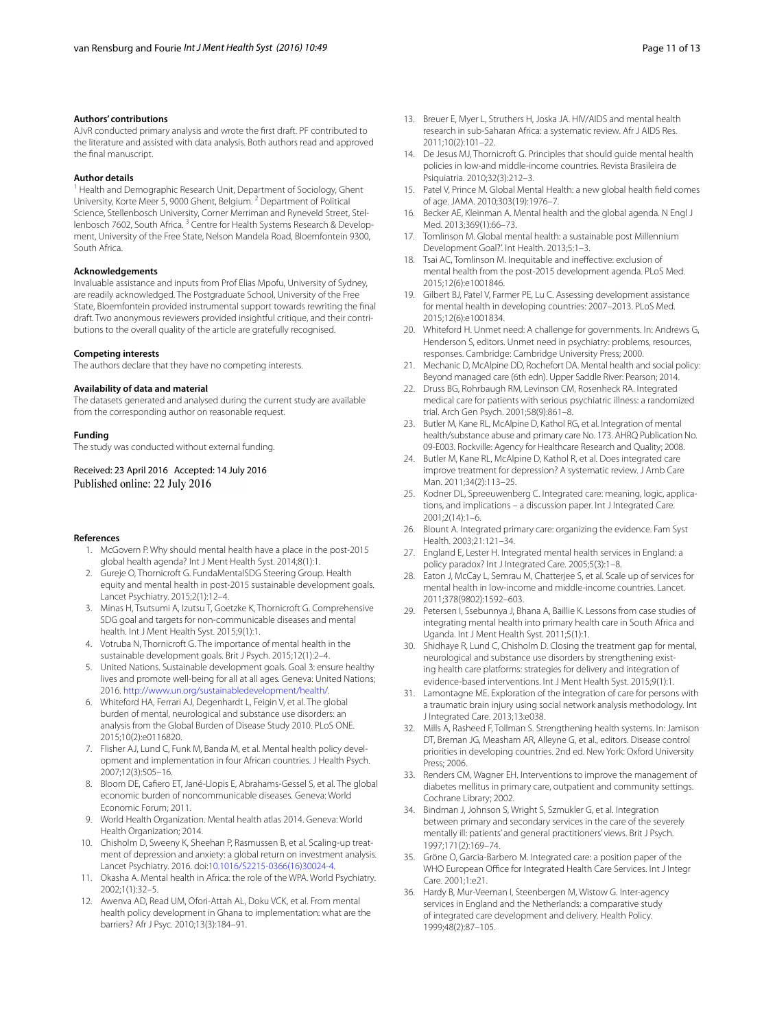#### **Authors' contributions**

AJvR conducted primary analysis and wrote the first draft. PF contributed to the literature and assisted with data analysis. Both authors read and approved the final manuscript.

#### **Author details**

<sup>1</sup> Health and Demographic Research Unit, Department of Sociology, Ghent University, Korte Meer 5, 9000 Ghent, Belgium. <sup>2</sup> Department of Political Science, Stellenbosch University, Corner Merriman and Ryneveld Street, Stellenbosch 7602, South Africa. 3 Centre for Health Systems Research & Development, University of the Free State, Nelson Mandela Road, Bloemfontein 9300, South Africa.

#### **Acknowledgements**

Invaluable assistance and inputs from Prof Elias Mpofu, University of Sydney, are readily acknowledged. The Postgraduate School, University of the Free State, Bloemfontein provided instrumental support towards rewriting the final draft. Two anonymous reviewers provided insightful critique, and their contributions to the overall quality of the article are gratefully recognised.

#### **Competing interests**

The authors declare that they have no competing interests.

#### **Availability of data and material**

The datasets generated and analysed during the current study are available from the corresponding author on reasonable request.

#### **Funding**

The study was conducted without external funding.

Received: 23 April 2016 Accepted: 14 July 2016 Published online: 22 July 2016

#### <span id="page-10-0"></span>**References**

- 1. McGovern P. Why should mental health have a place in the post-2015 global health agenda? Int J Ment Health Syst. 2014;8(1):1.
- 2. Gureje O, Thornicroft G. FundaMentalSDG Steering Group. Health equity and mental health in post-2015 sustainable development goals. Lancet Psychiatry. 2015;2(1):12–4.
- <span id="page-10-30"></span>3. Minas H, Tsutsumi A, Izutsu T, Goetzke K, Thornicroft G. Comprehensive SDG goal and targets for non-communicable diseases and mental health. Int J Ment Health Syst. 2015;9(1):1.
- 4. Votruba N, Thornicroft G. The importance of mental health in the sustainable development goals. Brit J Psych. 2015;12(1):2–4.
- <span id="page-10-1"></span>5. United Nations. Sustainable development goals. Goal 3: ensure healthy lives and promote well-being for all at all ages. Geneva: United Nations; 2016. <http://www.un.org/sustainabledevelopment/health/>.
- <span id="page-10-2"></span>6. Whiteford HA, Ferrari AJ, Degenhardt L, Feigin V, et al. The global burden of mental, neurological and substance use disorders: an analysis from the Global Burden of Disease Study 2010. PLoS ONE. 2015;10(2):e0116820.
- <span id="page-10-3"></span>7. Flisher AJ, Lund C, Funk M, Banda M, et al. Mental health policy development and implementation in four African countries. J Health Psych. 2007;12(3):505–16.
- <span id="page-10-4"></span>8. Bloom DE, Cafiero ET, Jané-Llopis E, Abrahams-Gessel S, et al. The global economic burden of noncommunicable diseases. Geneva: World Economic Forum; 2011.
- <span id="page-10-5"></span>9. World Health Organization. Mental health atlas 2014. Geneva: World Health Organization; 2014.
- <span id="page-10-6"></span>10. Chisholm D, Sweeny K, Sheehan P, Rasmussen B, et al. Scaling-up treatment of depression and anxiety: a global return on investment analysis. Lancet Psychiatry. 2016. doi[:10.1016/S2215-0366\(16\)30024-4.](http://dx.doi.org/10.1016/S2215-0366(16)30024-4)
- <span id="page-10-7"></span>11. Okasha A. Mental health in Africa: the role of the WPA. World Psychiatry. 2002;1(1):32–5.
- <span id="page-10-31"></span>12. Awenva AD, Read UM, Ofori-Attah AL, Doku VCK, et al. From mental health policy development in Ghana to implementation: what are the barriers? Afr J Psyc. 2010;13(3):184–91.
- <span id="page-10-8"></span>13. Breuer E, Myer L, Struthers H, Joska JA. HIV/AIDS and mental health research in sub-Saharan Africa: a systematic review. Afr J AIDS Res.
- <span id="page-10-9"></span>2011;10(2):101–22. 14. De Jesus MJ, Thornicroft G. Principles that should guide mental health policies in low-and middle-income countries. Revista Brasileira de Psiquiatria. 2010;32(3):212–3.
- <span id="page-10-10"></span>15. Patel V, Prince M. Global Mental Health: a new global health field comes of age. JAMA. 2010;303(19):1976–7.
- <span id="page-10-11"></span>16. Becker AE, Kleinman A. Mental health and the global agenda. N Engl J Med. 2013;369(1):66–73.
- <span id="page-10-12"></span>17. Tomlinson M. Global mental health: a sustainable post Millennium Development Goal?'. Int Health. 2013;5:1–3.
- <span id="page-10-13"></span>18. Tsai AC, Tomlinson M. Inequitable and ineffective: exclusion of mental health from the post-2015 development agenda. PLoS Med. 2015;12(6):e1001846.
- <span id="page-10-14"></span>19. Gilbert BJ, Patel V, Farmer PE, Lu C. Assessing development assistance for mental health in developing countries: 2007–2013. PLoS Med. 2015;12(6):e1001834.
- <span id="page-10-15"></span>20. Whiteford H. Unmet need: A challenge for governments. In: Andrews G, Henderson S, editors. Unmet need in psychiatry: problems, resources, responses. Cambridge: Cambridge University Press; 2000.
- <span id="page-10-16"></span>21. Mechanic D, McAlpine DD, Rochefort DA. Mental health and social policy: Beyond managed care (6th edn). Upper Saddle River: Pearson; 2014.
- <span id="page-10-17"></span>22. Druss BG, Rohrbaugh RM, Levinson CM, Rosenheck RA. Integrated medical care for patients with serious psychiatric illness: a randomized trial. Arch Gen Psych. 2001;58(9):861–8.
- 23. Butler M, Kane RL, McAlpine D, Kathol RG, et al. Integration of mental health/substance abuse and primary care No. 173. AHRQ Publication No. 09-E003. Rockville: Agency for Healthcare Research and Quality; 2008.
- <span id="page-10-18"></span>24. Butler M, Kane RL, McAlpine D, Kathol R, et al. Does integrated care improve treatment for depression? A systematic review. J Amb Care Man. 2011;34(2):113–25.
- <span id="page-10-19"></span>25. Kodner DL, Spreeuwenberg C. Integrated care: meaning, logic, applications, and implications – a discussion paper. Int J Integrated Care. 2001;2(14):1–6.
- <span id="page-10-29"></span>26. Blount A. Integrated primary care: organizing the evidence. Fam Syst Health. 2003;21:121–34.
- <span id="page-10-20"></span>27. England E, Lester H. Integrated mental health services in England: a policy paradox? Int J Integrated Care. 2005;5(3):1–8.
- <span id="page-10-21"></span>28. Eaton J, McCay L, Semrau M, Chatterjee S, et al. Scale up of services for mental health in low-income and middle-income countries. Lancet. 2011;378(9802):1592–603.
- <span id="page-10-32"></span>29. Petersen I, Ssebunnya J, Bhana A, Baillie K. Lessons from case studies of integrating mental health into primary health care in South Africa and Uganda. Int J Ment Health Syst. 2011;5(1):1.
- <span id="page-10-22"></span>30. Shidhaye R, Lund C, Chisholm D. Closing the treatment gap for mental, neurological and substance use disorders by strengthening existing health care platforms: strategies for delivery and integration of evidence-based interventions. Int J Ment Health Syst. 2015;9(1):1.
- <span id="page-10-23"></span>31. Lamontagne ME. Exploration of the integration of care for persons with a traumatic brain injury using social network analysis methodology. Int J Integrated Care. 2013;13:e038.
- <span id="page-10-24"></span>32. Mills A, Rasheed F, Tollman S. Strengthening health systems. In: Jamison DT, Breman JG, Measham AR, Alleyne G, et al., editors. Disease control priorities in developing countries. 2nd ed. New York: Oxford University Press; 2006.
- <span id="page-10-25"></span>33. Renders CM, Wagner EH. Interventions to improve the management of diabetes mellitus in primary care, outpatient and community settings. Cochrane Library; 2002.
- <span id="page-10-26"></span>34. Bindman J, Johnson S, Wright S, Szmukler G, et al. Integration between primary and secondary services in the care of the severely mentally ill: patients' and general practitioners' views. Brit J Psych. 1997;171(2):169–74.
- <span id="page-10-27"></span>35. Gröne O, Garcia-Barbero M. Integrated care: a position paper of the WHO European Office for Integrated Health Care Services. Int J Integr Care. 2001;1:e21.
- <span id="page-10-28"></span>36. Hardy B, Mur-Veeman I, Steenbergen M, Wistow G. Inter-agency services in England and the Netherlands: a comparative study of integrated care development and delivery. Health Policy. 1999;48(2):87–105.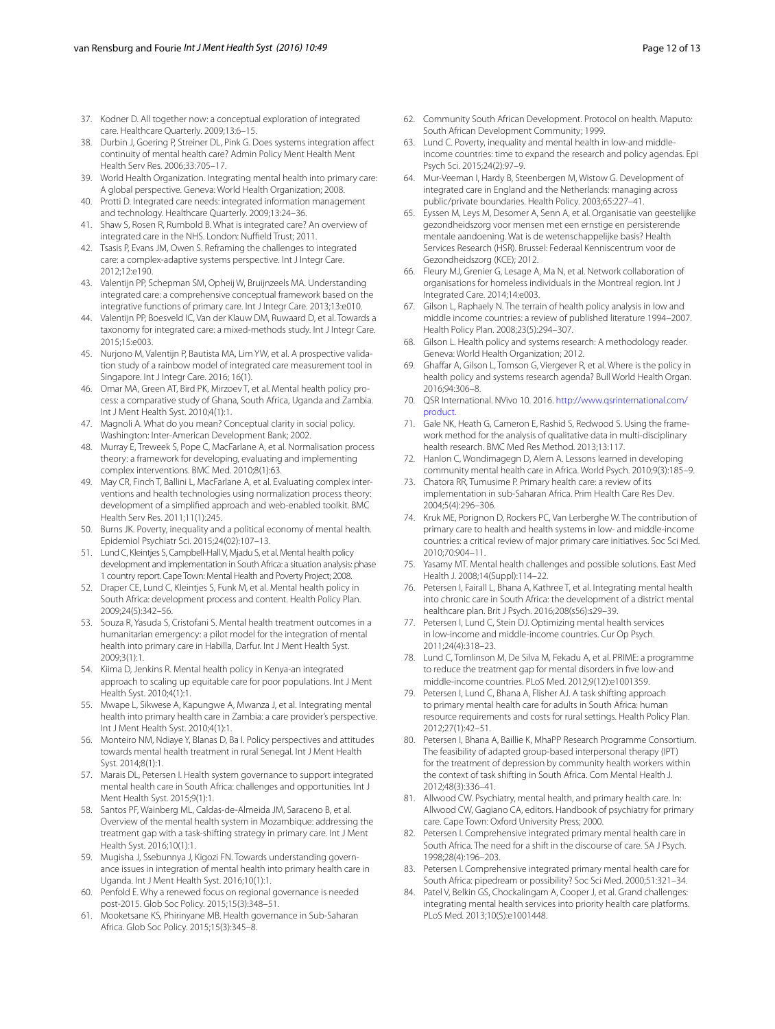- <span id="page-11-0"></span>37. Kodner D. All together now: a conceptual exploration of integrated care. Healthcare Quarterly. 2009;13:6–15.
- <span id="page-11-1"></span>38. Durbin J, Goering P, Streiner DL, Pink G. Does systems integration affect continuity of mental health care? Admin Policy Ment Health Ment Health Serv Res. 2006;33:705–17.
- <span id="page-11-2"></span>39. World Health Organization. Integrating mental health into primary care: A global perspective. Geneva: World Health Organization; 2008.
- <span id="page-11-3"></span>40. Protti D. Integrated care needs: integrated information management and technology. Healthcare Quarterly. 2009;13:24–36.
- <span id="page-11-4"></span>41. Shaw S, Rosen R, Rumbold B. What is integrated care? An overview of integrated care in the NHS. London: Nuffield Trust; 2011.
- <span id="page-11-5"></span>42. Tsasis P, Evans JM, Owen S. Reframing the challenges to integrated care: a complex-adaptive systems perspective. Int J Integr Care. 2012;12:e190.
- <span id="page-11-6"></span>43. Valentijn PP, Schepman SM, Opheij W, Bruijnzeels MA. Understanding integrated care: a comprehensive conceptual framework based on the integrative functions of primary care. Int J Integr Care. 2013;13:e010.
- <span id="page-11-7"></span>44. Valentijn PP, Boesveld IC, Van der Klauw DM, Ruwaard D, et al. Towards a taxonomy for integrated care: a mixed-methods study. Int J Integr Care. 2015;15:e003.
- <span id="page-11-8"></span>45. Nurjono M, Valentijn P, Bautista MA, Lim YW, et al. A prospective validation study of a rainbow model of integrated care measurement tool in Singapore. Int J Integr Care. 2016; 16(1).
- <span id="page-11-9"></span>46. Omar MA, Green AT, Bird PK, Mirzoev T, et al. Mental health policy process: a comparative study of Ghana, South Africa, Uganda and Zambia. Int J Ment Health Syst. 2010;4(1):1.
- <span id="page-11-10"></span>47. Magnoli A. What do you mean? Conceptual clarity in social policy. Washington: Inter-American Development Bank; 2002.
- <span id="page-11-11"></span>48. Murray E, Treweek S, Pope C, MacFarlane A, et al. Normalisation process theory: a framework for developing, evaluating and implementing complex interventions. BMC Med. 2010;8(1):63.
- <span id="page-11-12"></span>49. May CR, Finch T, Ballini L, MacFarlane A, et al. Evaluating complex interventions and health technologies using normalization process theory: development of a simplified approach and web-enabled toolkit. BMC Health Serv Res. 2011;11(1):245.
- <span id="page-11-13"></span>50. Burns JK. Poverty, inequality and a political economy of mental health. Epidemiol Psychiatr Sci. 2015;24(02):107–13.
- <span id="page-11-14"></span>51. Lund C, Kleintjes S, Campbell-Hall V, Mjadu S, et al. Mental health policy development and implementation in South Africa: a situation analysis: phase 1 country report. Cape Town: Mental Health and Poverty Project; 2008.
- 52. Draper CE, Lund C, Kleintjes S, Funk M, et al. Mental health policy in South Africa: development process and content. Health Policy Plan. 2009;24(5):342–56.
- <span id="page-11-23"></span>53. Souza R, Yasuda S, Cristofani S. Mental health treatment outcomes in a humanitarian emergency: a pilot model for the integration of mental health into primary care in Habilla, Darfur. Int J Ment Health Syst. 2009;3(1):1.
- 54. Kiima D, Jenkins R. Mental health policy in Kenya-an integrated approach to scaling up equitable care for poor populations. Int J Ment Health Syst. 2010;4(1):1.
- 55. Mwape L, Sikwese A, Kapungwe A, Mwanza J, et al. Integrating mental health into primary health care in Zambia: a care provider's perspective. Int J Ment Health Syst. 2010;4(1):1.
- <span id="page-11-28"></span>56. Monteiro NM, Ndiaye Y, Blanas D, Ba I. Policy perspectives and attitudes towards mental health treatment in rural Senegal. Int J Ment Health Syst. 2014;8(1):1.
- 57. Marais DL, Petersen I. Health system governance to support integrated mental health care in South Africa: challenges and opportunities. Int J Ment Health Syst. 2015;9(1):1.
- <span id="page-11-29"></span>58. Santos PF, Wainberg ML, Caldas-de-Almeida JM, Saraceno B, et al. Overview of the mental health system in Mozambique: addressing the treatment gap with a task-shifting strategy in primary care. Int J Ment Health Syst. 2016;10(1):1.
- <span id="page-11-15"></span>59. Mugisha J, Ssebunnya J, Kigozi FN. Towards understanding governance issues in integration of mental health into primary health care in Uganda. Int J Ment Health Syst. 2016;10(1):1.
- <span id="page-11-16"></span>60. Penfold E. Why a renewed focus on regional governance is needed post-2015. Glob Soc Policy. 2015;15(3):348–51.
- <span id="page-11-17"></span>61. Mooketsane KS, Phirinyane MB. Health governance in Sub-Saharan Africa. Glob Soc Policy. 2015;15(3):345–8.
- <span id="page-11-18"></span>62. Community South African Development. Protocol on health. Maputo: South African Development Community; 1999.
- <span id="page-11-19"></span>63. Lund C. Poverty, inequality and mental health in low-and middleincome countries: time to expand the research and policy agendas. Epi Psych Sci. 2015;24(2):97–9.
- <span id="page-11-20"></span>64. Mur-Veeman I, Hardy B, Steenbergen M, Wistow G. Development of integrated care in England and the Netherlands: managing across public/private boundaries. Health Policy. 2003;65:227–41.
- <span id="page-11-21"></span>65. Eyssen M, Leys M, Desomer A, Senn A, et al. Organisatie van geestelijke gezondheidszorg voor mensen met een ernstige en persisterende mentale aandoening. Wat is de wetenschappelijke basis? Health Services Research (HSR). Brussel: Federaal Kenniscentrum voor de Gezondheidszorg (KCE); 2012.
- <span id="page-11-22"></span>66. Fleury MJ, Grenier G, Lesage A, Ma N, et al. Network collaboration of organisations for homeless individuals in the Montreal region. Int J Integrated Care. 2014;14:e003.
- <span id="page-11-24"></span>67. Gilson L, Raphaely N. The terrain of health policy analysis in low and middle income countries: a review of published literature 1994–2007. Health Policy Plan. 2008;23(5):294–307.
- 68. Gilson L. Health policy and systems research: A methodology reader. Geneva: World Health Organization; 2012.
- <span id="page-11-25"></span>69. Ghaffar A, Gilson L, Tomson G, Viergever R, et al. Where is the policy in health policy and systems research agenda? Bull World Health Organ. 2016;94:306–8.
- <span id="page-11-26"></span>70. QSR International. NVivo 10. 2016. [http://www.qsrinternational.com/](http://www.qsrinternational.com/product) [product](http://www.qsrinternational.com/product).
- <span id="page-11-27"></span>71. Gale NK, Heath G, Cameron E, Rashid S, Redwood S. Using the framework method for the analysis of qualitative data in multi-disciplinary health research. BMC Med Res Method. 2013;13:117.
- <span id="page-11-30"></span>72. Hanlon C, Wondimagegn D, Alem A. Lessons learned in developing community mental health care in Africa. World Psych. 2010;9(3):185–9.
- <span id="page-11-31"></span>73. Chatora RR, Tumusime P. Primary health care: a review of its implementation in sub-Saharan Africa. Prim Health Care Res Dev. 2004;5(4):296–306.
- <span id="page-11-32"></span>74. Kruk ME, Porignon D, Rockers PC, Van Lerberghe W. The contribution of primary care to health and health systems in low- and middle-income countries: a critical review of major primary care initiatives. Soc Sci Med. 2010;70:904–11.
- <span id="page-11-33"></span>75. Yasamy MT. Mental health challenges and possible solutions. East Med Health J. 2008;14(Suppl):114–22.
- <span id="page-11-34"></span>76. Petersen I, Fairall L, Bhana A, Kathree T, et al. Integrating mental health into chronic care in South Africa: the development of a district mental healthcare plan. Brit J Psych. 2016;208(s56):s29–39.
- <span id="page-11-35"></span>77. Petersen I, Lund C, Stein DJ. Optimizing mental health services in low-income and middle-income countries. Cur Op Psych. 2011;24(4):318–23.
- 78. Lund C, Tomlinson M, De Silva M, Fekadu A, et al. PRIME: a programme to reduce the treatment gap for mental disorders in five low-and middle-income countries. PLoS Med. 2012;9(12):e1001359.
- Petersen I, Lund C, Bhana A, Flisher AJ. A task shifting approach to primary mental health care for adults in South Africa: human resource requirements and costs for rural settings. Health Policy Plan. 2012;27(1):42–51.
- <span id="page-11-36"></span>80. Petersen I, Bhana A, Baillie K, MhaPP Research Programme Consortium. The feasibility of adapted group-based interpersonal therapy (IPT) for the treatment of depression by community health workers within the context of task shifting in South Africa. Com Mental Health J. 2012;48(3):336–41.
- <span id="page-11-37"></span>81. Allwood CW. Psychiatry, mental health, and primary health care. In: Allwood CW, Gagiano CA, editors. Handbook of psychiatry for primary care. Cape Town: Oxford University Press; 2000.
- <span id="page-11-38"></span>82. Petersen I. Comprehensive integrated primary mental health care in South Africa. The need for a shift in the discourse of care. SA J Psych. 1998;28(4):196–203.
- <span id="page-11-39"></span>83. Petersen I. Comprehensive integrated primary mental health care for South Africa: pipedream or possibility? Soc Sci Med. 2000;51:321–34.
- <span id="page-11-40"></span>84. Patel V, Belkin GS, Chockalingam A, Cooper J, et al. Grand challenges: integrating mental health services into priority health care platforms. PLoS Med. 2013;10(5):e1001448.